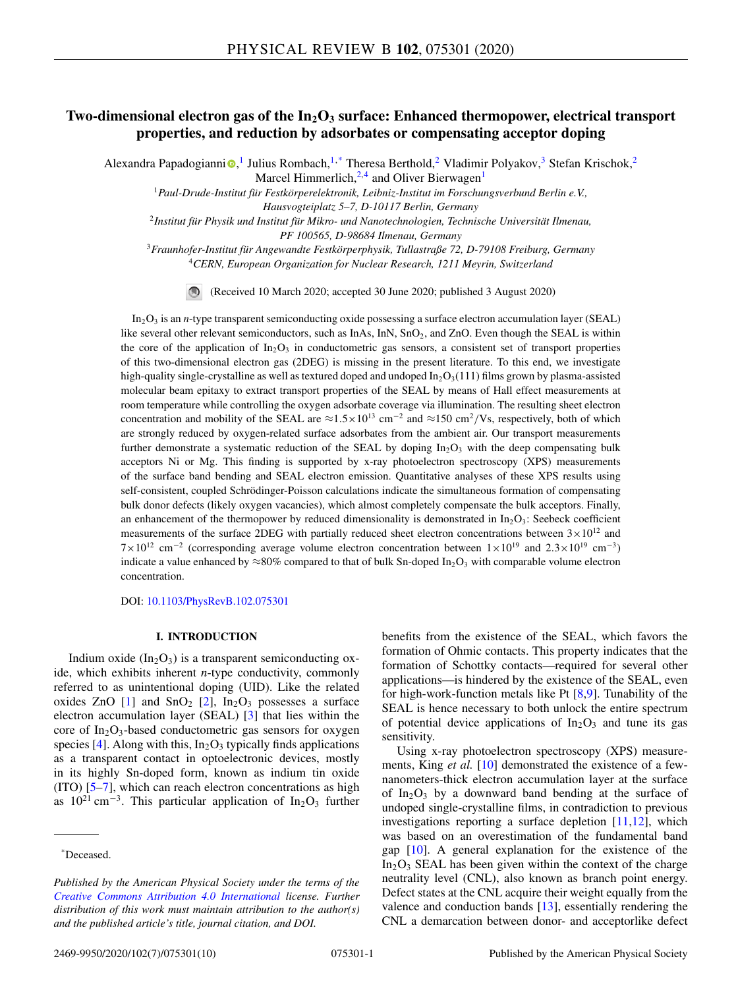# Two-dimensional electron gas of the In<sub>2</sub>O<sub>3</sub> surface: Enhanced thermopower, electrical transport **properties, and reduction by adsorbates or compensating acceptor doping**

Alexandra Papadog[i](https://orcid.org/0000-0002-1522-0861)anni <sup>®</sup>,<sup>1</sup> Julius Rombach,<sup>1,\*</sup> Theresa Berthold,<sup>2</sup> Vladimir Polyakov,<sup>3</sup> Stefan Krischok,<sup>2</sup>

Marcel Himmerlich,<sup>2,4</sup> and Oliver Bierwagen<sup>1</sup>

<sup>1</sup>*Paul-Drude-Institut für Festkörperelektronik, Leibniz-Institut im Forschungsverbund Berlin e.V.,*

*Hausvogteiplatz 5–7, D-10117 Berlin, Germany*

<sup>2</sup>*Institut für Physik und Institut für Mikro- und Nanotechnologien, Technische Universität Ilmenau,*

*PF 100565, D-98684 Ilmenau, Germany*

<sup>3</sup>*Fraunhofer-Institut für Angewandte Festkörperphysik, Tullastraße 72, D-79108 Freiburg, Germany*

<sup>4</sup>*CERN, European Organization for Nuclear Research, 1211 Meyrin, Switzerland*

(Received 10 March 2020; accepted 30 June 2020; published 3 August 2020)

In2O3 is an *n*-type transparent semiconducting oxide possessing a surface electron accumulation layer (SEAL) like several other relevant semiconductors, such as InAs, InN, SnO<sub>2</sub>, and ZnO. Even though the SEAL is within the core of the application of  $In_2O_3$  in conductometric gas sensors, a consistent set of transport properties of this two-dimensional electron gas (2DEG) is missing in the present literature. To this end, we investigate high-quality single-crystalline as well as textured doped and undoped  $In_2O_3(111)$  films grown by plasma-assisted molecular beam epitaxy to extract transport properties of the SEAL by means of Hall effect measurements at room temperature while controlling the oxygen adsorbate coverage via illumination. The resulting sheet electron concentration and mobility of the SEAL are  $\approx 1.5 \times 10^{13}$  cm<sup>-2</sup> and  $\approx 150$  cm<sup>2</sup>/Vs, respectively, both of which are strongly reduced by oxygen-related surface adsorbates from the ambient air. Our transport measurements further demonstrate a systematic reduction of the SEAL by doping  $In_2O_3$  with the deep compensating bulk acceptors Ni or Mg. This finding is supported by x-ray photoelectron spectroscopy (XPS) measurements of the surface band bending and SEAL electron emission. Quantitative analyses of these XPS results using self-consistent, coupled Schrödinger-Poisson calculations indicate the simultaneous formation of compensating bulk donor defects (likely oxygen vacancies), which almost completely compensate the bulk acceptors. Finally, an enhancement of the thermopower by reduced dimensionality is demonstrated in  $In_2O_3$ : Seebeck coefficient measurements of the surface 2DEG with partially reduced sheet electron concentrations between  $3 \times 10^{12}$  and  $7\times10^{12}$  cm<sup>-2</sup> (corresponding average volume electron concentration between  $1\times10^{19}$  and  $2.3\times10^{19}$  cm<sup>-3</sup>) indicate a value enhanced by  $\approx 80\%$  compared to that of bulk Sn-doped In<sub>2</sub>O<sub>3</sub> with comparable volume electron concentration.

DOI: [10.1103/PhysRevB.102.075301](https://doi.org/10.1103/PhysRevB.102.075301)

# **I. INTRODUCTION**

Indium oxide  $(In_2O_3)$  is a transparent semiconducting oxide, which exhibits inherent *n*-type conductivity, commonly referred to as unintentional doping (UID). Like the related oxides ZnO  $[1]$  and SnO<sub>2</sub>  $[2]$ , In<sub>2</sub>O<sub>3</sub> possesses a surface electron accumulation layer (SEAL) [\[3\]](#page-8-0) that lies within the core of  $In_2O_3$ -based conductometric gas sensors for oxygen species [\[4\]](#page-8-0). Along with this,  $In_2O_3$  typically finds applications as a transparent contact in optoelectronic devices, mostly in its highly Sn-doped form, known as indium tin oxide (ITO) [\[5–7\]](#page-8-0), which can reach electron concentrations as high as  $10^{21}$  cm<sup>-3</sup>. This particular application of In<sub>2</sub>O<sub>3</sub> further

benefits from the existence of the SEAL, which favors the formation of Ohmic contacts. This property indicates that the formation of Schottky contacts—required for several other applications—is hindered by the existence of the SEAL, even for high-work-function metals like Pt  $[8,9]$ . Tunability of the SEAL is hence necessary to both unlock the entire spectrum of potential device applications of  $In_2O_3$  and tune its gas sensitivity.

Using x-ray photoelectron spectroscopy (XPS) measurements, King *et al.* [\[10\]](#page-8-0) demonstrated the existence of a fewnanometers-thick electron accumulation layer at the surface of In<sub>2</sub>O<sub>3</sub> by a downward band bending at the surface of undoped single-crystalline films, in contradiction to previous investigations reporting a surface depletion [\[11,12\]](#page-8-0), which was based on an overestimation of the fundamental band gap [\[10\]](#page-8-0). A general explanation for the existence of the  $In<sub>2</sub>O<sub>3</sub>$  SEAL has been given within the context of the charge neutrality level (CNL), also known as branch point energy. Defect states at the CNL acquire their weight equally from the valence and conduction bands [\[13\]](#page-8-0), essentially rendering the CNL a demarcation between donor- and acceptorlike defect

<sup>\*</sup>Deceased.

*Published by the American Physical Society under the terms of the [Creative Commons Attribution 4.0 International](https://creativecommons.org/licenses/by/4.0/) license. Further distribution of this work must maintain attribution to the author(s) and the published article's title, journal citation, and DOI.*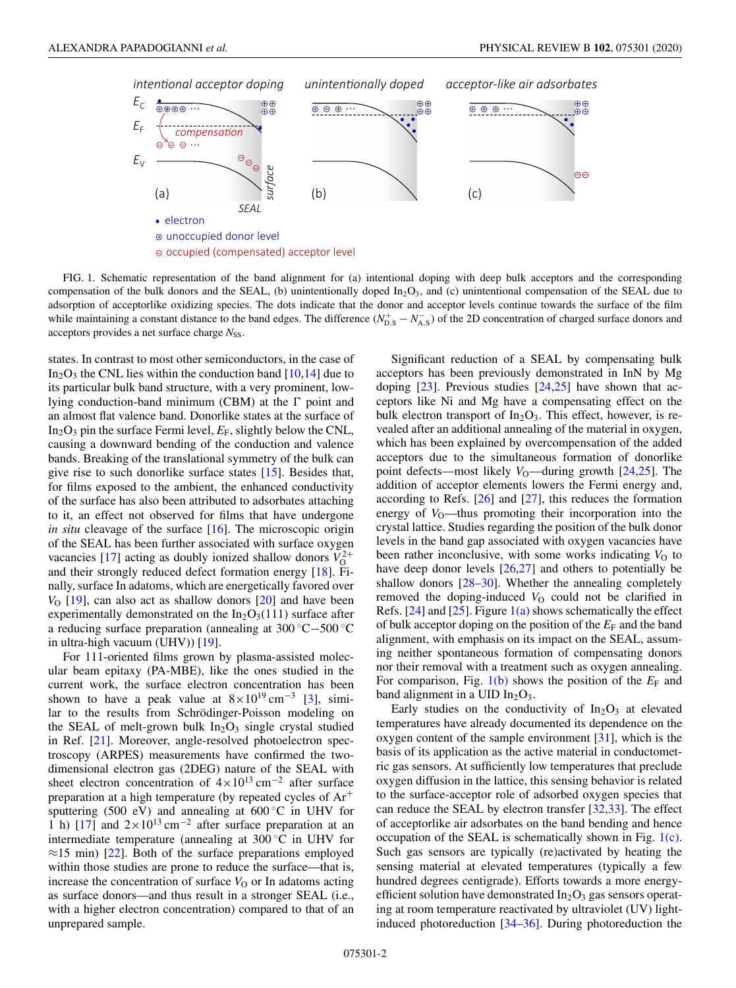<span id="page-1-0"></span>

FIG. 1. Schematic representation of the band alignment for (a) intentional doping with deep bulk acceptors and the corresponding compensation of the bulk donors and the SEAL, (b) unintentionally doped  $In_2O_3$ , and (c) unintentional compensation of the SEAL due to adsorption of acceptorlike oxidizing species. The dots indicate that the donor and acceptor levels continue towards the surface of the film while maintaining a constant distance to the band edges. The difference  $(N_{\rm D,S}^+ - N_{\rm A,S}^-)$  of the 2D concentration of charged surface donors and acceptors provides a net surface charge  $N_{SS}$ .

states. In contrast to most other semiconductors, in the case of  $In_2O_3$  the CNL lies within the conduction band [\[10,14\]](#page-8-0) due to its particular bulk band structure, with a very prominent, lowlying conduction-band minimum (CBM) at the  $\Gamma$  point and an almost flat valence band. Donorlike states at the surface of In<sub>2</sub>O<sub>3</sub> pin the surface Fermi level,  $E_F$ , slightly below the CNL, causing a downward bending of the conduction and valence bands. Breaking of the translational symmetry of the bulk can give rise to such donorlike surface states [\[15\]](#page-9-0). Besides that, for films exposed to the ambient, the enhanced conductivity of the surface has also been attributed to adsorbates attaching to it, an effect not observed for films that have undergone *in situ* cleavage of the surface [\[16\]](#page-9-0). The microscopic origin of the SEAL has been further associated with surface oxygen vacancies [\[17\]](#page-9-0) acting as doubly ionized shallow donors  $V_0^{2+}$ and their strongly reduced defect formation energy [\[18\]](#page-9-0). Finally, surface In adatoms, which are energetically favored over *V*<sub>O</sub> [\[19\]](#page-9-0), can also act as shallow donors [\[20\]](#page-9-0) and have been experimentally demonstrated on the  $In_2O_3(111)$  surface after a reducing surface preparation (annealing at 300 ◦C−500 ◦C in ultra-high vacuum (UHV)) [\[19\]](#page-9-0).

For 111-oriented films grown by plasma-assisted molecular beam epitaxy (PA-MBE), like the ones studied in the current work, the surface electron concentration has been shown to have a peak value at  $8 \times 10^{19}$  cm<sup>-3</sup> [\[3\]](#page-8-0), similar to the results from Schrödinger-Poisson modeling on the SEAL of melt-grown bulk  $In<sub>2</sub>O<sub>3</sub>$  single crystal studied in Ref. [\[21\]](#page-9-0). Moreover, angle-resolved photoelectron spectroscopy (ARPES) measurements have confirmed the twodimensional electron gas (2DEG) nature of the SEAL with sheet electron concentration of  $4 \times 10^{13}$  cm<sup>-2</sup> after surface preparation at a high temperature (by repeated cycles of Ar<sup>+</sup> sputtering (500 eV) and annealing at  $600\degree C$  in UHV for 1 h) [\[17\]](#page-9-0) and  $2\times10^{13}$  cm<sup>-2</sup> after surface preparation at an intermediate temperature (annealing at 300 ◦C in UHV for  $\approx$ 15 min) [\[22\]](#page-9-0). Both of the surface preparations employed within those studies are prone to reduce the surface—that is, increase the concentration of surface  $V<sub>O</sub>$  or In adatoms acting as surface donors—and thus result in a stronger SEAL (i.e., with a higher electron concentration) compared to that of an unprepared sample.

Significant reduction of a SEAL by compensating bulk acceptors has been previously demonstrated in InN by Mg doping  $[23]$ . Previous studies  $[24,25]$  have shown that acceptors like Ni and Mg have a compensating effect on the bulk electron transport of  $In_2O_3$ . This effect, however, is revealed after an additional annealing of the material in oxygen, which has been explained by overcompensation of the added acceptors due to the simultaneous formation of donorlike point defects—most likely *V*<sub>O</sub>—during growth [\[24,25\]](#page-9-0). The addition of acceptor elements lowers the Fermi energy and, according to Refs.  $[26]$  and  $[27]$ , this reduces the formation energy of  $V_0$ —thus promoting their incorporation into the crystal lattice. Studies regarding the position of the bulk donor levels in the band gap associated with oxygen vacancies have been rather inconclusive, with some works indicating  $V<sub>O</sub>$  to have deep donor levels [\[26,27\]](#page-9-0) and others to potentially be shallow donors [\[28–30\]](#page-9-0). Whether the annealing completely removed the doping-induced  $V<sub>O</sub>$  could not be clarified in Refs.  $[24]$  and  $[25]$ . Figure  $1(a)$  shows schematically the effect of bulk acceptor doping on the position of the  $E_F$  and the band alignment, with emphasis on its impact on the SEAL, assuming neither spontaneous formation of compensating donors nor their removal with a treatment such as oxygen annealing. For comparison, Fig.  $1(b)$  shows the position of the  $E_F$  and band alignment in a UID  $In<sub>2</sub>O<sub>3</sub>$ .

Early studies on the conductivity of  $In<sub>2</sub>O<sub>3</sub>$  at elevated temperatures have already documented its dependence on the oxygen content of the sample environment [\[31\]](#page-9-0), which is the basis of its application as the active material in conductometric gas sensors. At sufficiently low temperatures that preclude oxygen diffusion in the lattice, this sensing behavior is related to the surface-acceptor role of adsorbed oxygen species that can reduce the SEAL by electron transfer [\[32,33\]](#page-9-0). The effect of acceptorlike air adsorbates on the band bending and hence occupation of the SEAL is schematically shown in Fig. 1(c). Such gas sensors are typically (re)activated by heating the sensing material at elevated temperatures (typically a few hundred degrees centigrade). Efforts towards a more energyefficient solution have demonstrated  $In_2O_3$  gas sensors operating at room temperature reactivated by ultraviolet (UV) lightinduced photoreduction [\[34–36\]](#page-9-0). During photoreduction the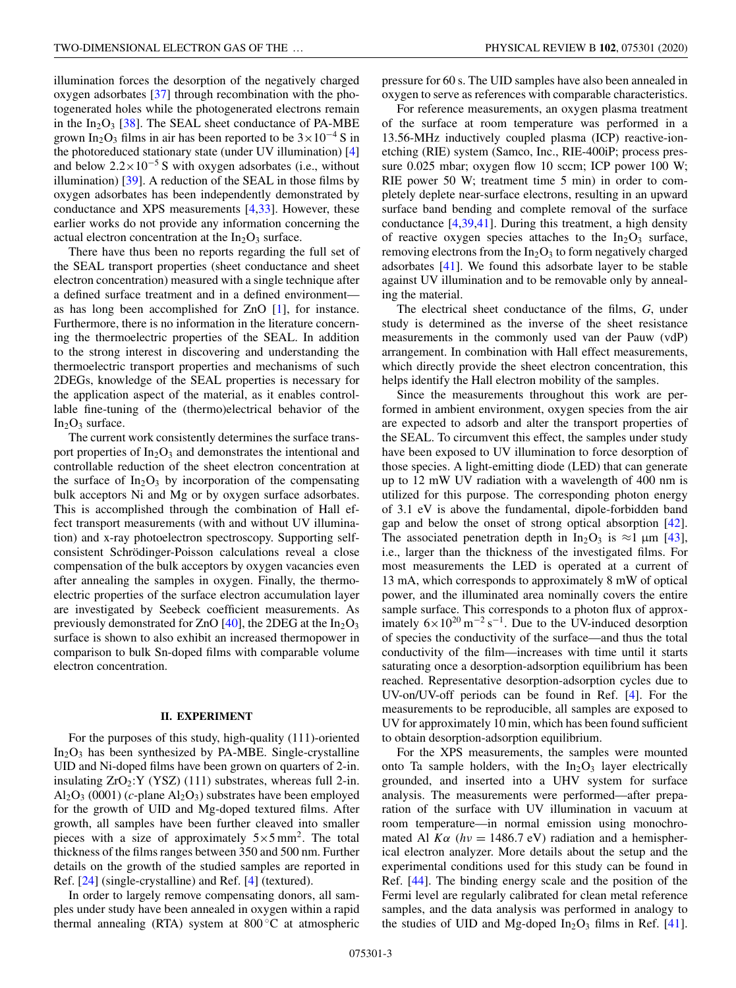illumination forces the desorption of the negatively charged oxygen adsorbates [\[37\]](#page-9-0) through recombination with the photogenerated holes while the photogenerated electrons remain in the  $In_2O_3$  [\[38\]](#page-9-0). The SEAL sheet conductance of PA-MBE grown In<sub>2</sub>O<sub>3</sub> films in air has been reported to be  $3 \times 10^{-4}$  S in the photoreduced stationary state (under UV illumination) [\[4\]](#page-8-0) and below  $2.2 \times 10^{-5}$  S with oxygen adsorbates (i.e., without illumination) [\[39\]](#page-9-0). A reduction of the SEAL in those films by oxygen adsorbates has been independently demonstrated by conductance and XPS measurements [\[4,](#page-8-0)[33\]](#page-9-0). However, these earlier works do not provide any information concerning the actual electron concentration at the  $In_2O_3$  surface.

There have thus been no reports regarding the full set of the SEAL transport properties (sheet conductance and sheet electron concentration) measured with a single technique after a defined surface treatment and in a defined environment as has long been accomplished for ZnO [\[1\]](#page-8-0), for instance. Furthermore, there is no information in the literature concerning the thermoelectric properties of the SEAL. In addition to the strong interest in discovering and understanding the thermoelectric transport properties and mechanisms of such 2DEGs, knowledge of the SEAL properties is necessary for the application aspect of the material, as it enables controllable fine-tuning of the (thermo)electrical behavior of the  $In_2O_3$  surface.

The current work consistently determines the surface transport properties of  $In_2O_3$  and demonstrates the intentional and controllable reduction of the sheet electron concentration at the surface of  $In_2O_3$  by incorporation of the compensating bulk acceptors Ni and Mg or by oxygen surface adsorbates. This is accomplished through the combination of Hall effect transport measurements (with and without UV illumination) and x-ray photoelectron spectroscopy. Supporting selfconsistent Schrödinger-Poisson calculations reveal a close compensation of the bulk acceptors by oxygen vacancies even after annealing the samples in oxygen. Finally, the thermoelectric properties of the surface electron accumulation layer are investigated by Seebeck coefficient measurements. As previously demonstrated for ZnO  $[40]$ , the 2DEG at the  $In<sub>2</sub>O<sub>3</sub>$ surface is shown to also exhibit an increased thermopower in comparison to bulk Sn-doped films with comparable volume electron concentration.

### **II. EXPERIMENT**

For the purposes of this study, high-quality (111)-oriented  $In_2O_3$  has been synthesized by PA-MBE. Single-crystalline UID and Ni-doped films have been grown on quarters of 2-in. insulating  $ZrO_2:Y$  (YSZ) (111) substrates, whereas full 2-in.  $Al_2O_3$  (0001) (*c*-plane  $Al_2O_3$ ) substrates have been employed for the growth of UID and Mg-doped textured films. After growth, all samples have been further cleaved into smaller pieces with a size of approximately  $5 \times 5$  mm<sup>2</sup>. The total thickness of the films ranges between 350 and 500 nm. Further details on the growth of the studied samples are reported in Ref. [\[24\]](#page-9-0) (single-crystalline) and Ref. [\[4\]](#page-8-0) (textured).

In order to largely remove compensating donors, all samples under study have been annealed in oxygen within a rapid thermal annealing (RTA) system at  $800\degree\text{C}$  at atmospheric pressure for 60 s. The UID samples have also been annealed in oxygen to serve as references with comparable characteristics.

For reference measurements, an oxygen plasma treatment of the surface at room temperature was performed in a 13.56-MHz inductively coupled plasma (ICP) reactive-ionetching (RIE) system (Samco, Inc., RIE-400iP; process pressure 0.025 mbar; oxygen flow 10 sccm; ICP power 100 W; RIE power 50 W; treatment time 5 min) in order to completely deplete near-surface electrons, resulting in an upward surface band bending and complete removal of the surface conductance [\[4](#page-8-0)[,39,41\]](#page-9-0). During this treatment, a high density of reactive oxygen species attaches to the  $In_2O_3$  surface, removing electrons from the  $In_2O_3$  to form negatively charged adsorbates [\[41\]](#page-9-0). We found this adsorbate layer to be stable against UV illumination and to be removable only by annealing the material.

The electrical sheet conductance of the films, *G*, under study is determined as the inverse of the sheet resistance measurements in the commonly used van der Pauw (vdP) arrangement. In combination with Hall effect measurements, which directly provide the sheet electron concentration, this helps identify the Hall electron mobility of the samples.

Since the measurements throughout this work are performed in ambient environment, oxygen species from the air are expected to adsorb and alter the transport properties of the SEAL. To circumvent this effect, the samples under study have been exposed to UV illumination to force desorption of those species. A light-emitting diode (LED) that can generate up to 12 mW UV radiation with a wavelength of 400 nm is utilized for this purpose. The corresponding photon energy of 3.1 eV is above the fundamental, dipole-forbidden band gap and below the onset of strong optical absorption [\[42\]](#page-9-0). The associated penetration depth in  $In_2O_3$  is  $\approx$ 1 µm [\[43\]](#page-9-0), i.e., larger than the thickness of the investigated films. For most measurements the LED is operated at a current of 13 mA, which corresponds to approximately 8 mW of optical power, and the illuminated area nominally covers the entire sample surface. This corresponds to a photon flux of approximately  $6 \times 10^{20}$  m<sup>-2</sup> s<sup>-1</sup>. Due to the UV-induced desorption of species the conductivity of the surface—and thus the total conductivity of the film—increases with time until it starts saturating once a desorption-adsorption equilibrium has been reached. Representative desorption-adsorption cycles due to UV-on/UV-off periods can be found in Ref. [\[4\]](#page-8-0). For the measurements to be reproducible, all samples are exposed to UV for approximately 10 min, which has been found sufficient to obtain desorption-adsorption equilibrium.

For the XPS measurements, the samples were mounted onto Ta sample holders, with the  $In_2O_3$  layer electrically grounded, and inserted into a UHV system for surface analysis. The measurements were performed—after preparation of the surface with UV illumination in vacuum at room temperature—in normal emission using monochromated Al  $K\alpha$  ( $hv = 1486.7$  eV) radiation and a hemispherical electron analyzer. More details about the setup and the experimental conditions used for this study can be found in Ref. [\[44\]](#page-9-0). The binding energy scale and the position of the Fermi level are regularly calibrated for clean metal reference samples, and the data analysis was performed in analogy to the studies of UID and Mg-doped  $In_2O_3$  films in Ref. [\[41\]](#page-9-0).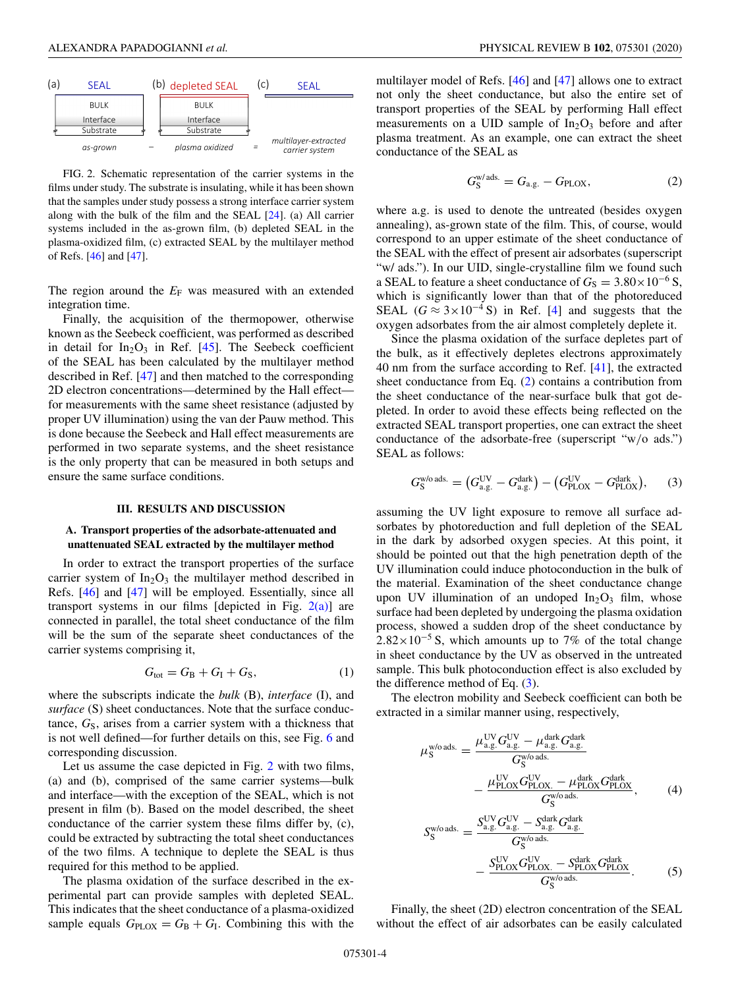<span id="page-3-0"></span>

FIG. 2. Schematic representation of the carrier systems in the films under study. The substrate is insulating, while it has been shown that the samples under study possess a strong interface carrier system along with the bulk of the film and the SEAL [\[24\]](#page-9-0). (a) All carrier systems included in the as-grown film, (b) depleted SEAL in the plasma-oxidized film, (c) extracted SEAL by the multilayer method of Refs. [\[46\]](#page-9-0) and [\[47\]](#page-9-0).

The region around the  $E_F$  was measured with an extended integration time.

Finally, the acquisition of the thermopower, otherwise known as the Seebeck coefficient, was performed as described in detail for  $In_2O_3$  in Ref. [\[45\]](#page-9-0). The Seebeck coefficient of the SEAL has been calculated by the multilayer method described in Ref. [\[47\]](#page-9-0) and then matched to the corresponding 2D electron concentrations—determined by the Hall effect for measurements with the same sheet resistance (adjusted by proper UV illumination) using the van der Pauw method. This is done because the Seebeck and Hall effect measurements are performed in two separate systems, and the sheet resistance is the only property that can be measured in both setups and ensure the same surface conditions.

#### **III. RESULTS AND DISCUSSION**

## **A. Transport properties of the adsorbate-attenuated and unattenuated SEAL extracted by the multilayer method**

In order to extract the transport properties of the surface carrier system of  $In_2O_3$  the multilayer method described in Refs. [\[46\]](#page-9-0) and [\[47\]](#page-9-0) will be employed. Essentially, since all transport systems in our films [depicted in Fig.  $2(a)$ ] are connected in parallel, the total sheet conductance of the film will be the sum of the separate sheet conductances of the carrier systems comprising it,

$$
G_{\text{tot}} = G_{\text{B}} + G_{\text{I}} + G_{\text{S}},\tag{1}
$$

where the subscripts indicate the *bulk* (B), *interface* (I), and *surface* (S) sheet conductances. Note that the surface conductance, G<sub>S</sub>, arises from a carrier system with a thickness that is not well defined—for further details on this, see Fig. [6](#page-6-0) and corresponding discussion.

Let us assume the case depicted in Fig. 2 with two films, (a) and (b), comprised of the same carrier systems—bulk and interface—with the exception of the SEAL, which is not present in film (b). Based on the model described, the sheet conductance of the carrier system these films differ by, (c), could be extracted by subtracting the total sheet conductances of the two films. A technique to deplete the SEAL is thus required for this method to be applied.

The plasma oxidation of the surface described in the experimental part can provide samples with depleted SEAL. This indicates that the sheet conductance of a plasma-oxidized sample equals  $G_{\text{PLOX}} = G_{\text{B}} + G_{\text{I}}$ . Combining this with the multilayer model of Refs. [\[46\]](#page-9-0) and [\[47\]](#page-9-0) allows one to extract not only the sheet conductance, but also the entire set of transport properties of the SEAL by performing Hall effect measurements on a UID sample of  $In<sub>2</sub>O<sub>3</sub>$  before and after plasma treatment. As an example, one can extract the sheet conductance of the SEAL as

$$
G_{\rm S}^{\rm w/ads.} = G_{\rm a.g.} - G_{\rm PLOX},\tag{2}
$$

where a.g. is used to denote the untreated (besides oxygen annealing), as-grown state of the film. This, of course, would correspond to an upper estimate of the sheet conductance of the SEAL with the effect of present air adsorbates (superscript "w/ ads."). In our UID, single-crystalline film we found such a SEAL to feature a sheet conductance of  $G_S = 3.80 \times 10^{-6}$  S, which is significantly lower than that of the photoreduced SEAL ( $G \approx 3 \times 10^{-4}$  S) in Ref. [\[4\]](#page-8-0) and suggests that the oxygen adsorbates from the air almost completely deplete it.

Since the plasma oxidation of the surface depletes part of the bulk, as it effectively depletes electrons approximately 40 nm from the surface according to Ref. [\[41\]](#page-9-0), the extracted sheet conductance from Eq. (2) contains a contribution from the sheet conductance of the near-surface bulk that got depleted. In order to avoid these effects being reflected on the extracted SEAL transport properties, one can extract the sheet conductance of the adsorbate-free (superscript "w/o ads.") SEAL as follows:

$$
G_{\rm S}^{\rm WO\,ads.} = \left(G_{\rm a.g.}^{\rm UV} - G_{\rm a.g.}^{\rm dark}\right) - \left(G_{\rm PLOX}^{\rm UV} - G_{\rm PLOX}^{\rm dark}\right),\tag{3}
$$

assuming the UV light exposure to remove all surface adsorbates by photoreduction and full depletion of the SEAL in the dark by adsorbed oxygen species. At this point, it should be pointed out that the high penetration depth of the UV illumination could induce photoconduction in the bulk of the material. Examination of the sheet conductance change upon UV illumination of an undoped  $In_2O_3$  film, whose surface had been depleted by undergoing the plasma oxidation process, showed a sudden drop of the sheet conductance by  $2.82\times10^{-5}$  S, which amounts up to 7% of the total change in sheet conductance by the UV as observed in the untreated sample. This bulk photoconduction effect is also excluded by the difference method of Eq. (3).

The electron mobility and Seebeck coefficient can both be extracted in a similar manner using, respectively,

$$
\mu_{\rm S}^{\rm w/o \,ads.} = \frac{\mu_{\rm a,g.}^{\rm UV} G_{\rm a,g.}^{\rm UV} - \mu_{\rm a,g.}^{\rm dark} G_{\rm a,g.}^{\rm dark}}{G_{\rm S}^{\rm w/o \,ads.}} - \frac{\mu_{\rm PLOX}^{\rm UV} G_{\rm PLOX}^{\rm UV} - \mu_{\rm PLOX}^{\rm dark} G_{\rm PLOX}^{\rm dark}}{G_{\rm S}^{\rm w/o \,ads.}}, \qquad (4)
$$

$$
S_{\rm S}^{\rm w/o \,ads.} = \frac{S_{\rm a,g.}^{\rm UV} G_{\rm a,g.}^{\rm UV} - S_{\rm a,g.}^{\rm dark} G_{\rm a,g.}^{\rm dark}}{G_{\rm S}^{\rm w/o \,ads.}} - \frac{S_{\rm PLOX}^{\rm UV} G_{\rm PLOX}^{\rm UV} - S_{\rm PLOX}^{\rm dark} G_{\rm PLOX}^{\rm dark}}{G_{\rm S}^{\rm w/o \,ads.}}.
$$
 (5)

Finally, the sheet (2D) electron concentration of the SEAL without the effect of air adsorbates can be easily calculated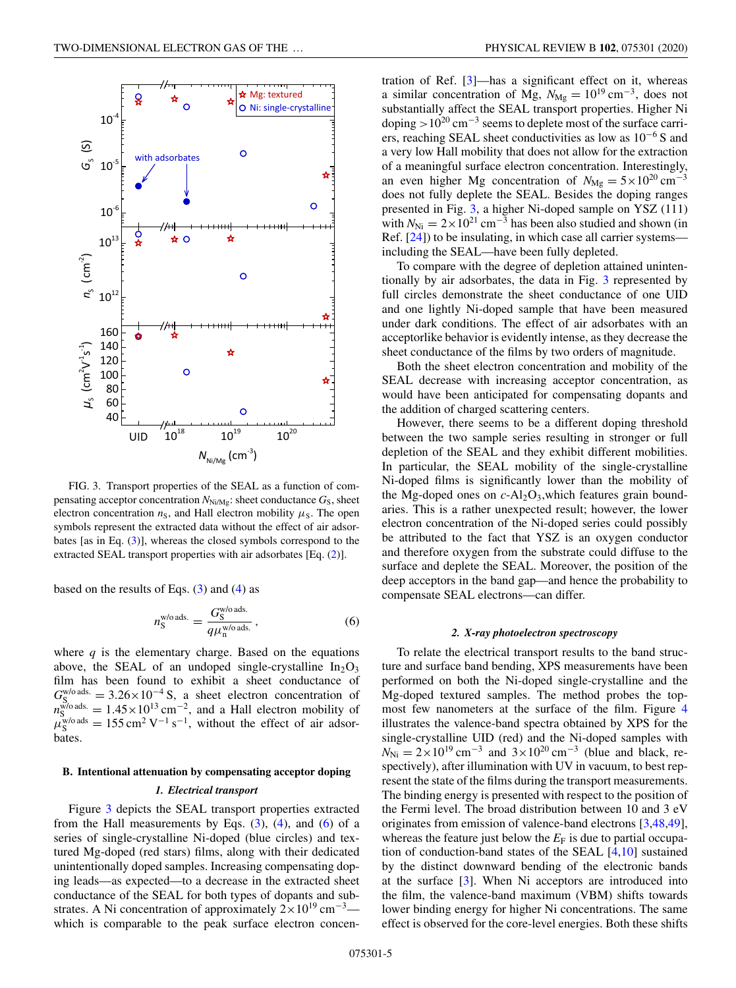

FIG. 3. Transport properties of the SEAL as a function of compensating acceptor concentration  $N_{\text{Ni/Mg}}$ : sheet conductance  $G_S$ , sheet electron concentration  $n<sub>S</sub>$ , and Hall electron mobility  $\mu<sub>S</sub>$ . The open symbols represent the extracted data without the effect of air adsorbates [as in Eq. [\(3\)](#page-3-0)], whereas the closed symbols correspond to the extracted SEAL transport properties with air adsorbates [Eq. [\(2\)](#page-3-0)].

based on the results of Eqs.  $(3)$  and  $(4)$  as

$$
n_{\rm S}^{\rm w/o\,ads.} = \frac{G_{\rm S}^{\rm w/o\,ads.}}{q\mu_{\rm n}^{\rm w/o\,ads.}}\,,\tag{6}
$$

where  $q$  is the elementary charge. Based on the equations above, the SEAL of an undoped single-crystalline  $In_2O_3$ film has been found to exhibit a sheet conductance of  $G_{S_{\text{closed}}}^{\text{w/o ads.}} = 3.26 \times 10^{-4}$  S, a sheet electron concentration of  $n_{\rm S}^{\rm w/o\,ads.} = 1.45 \times 10^{13} \rm \, cm^{-2}$ , and a Hall electron mobility of  $\mu_S^{\text{two} \text{ads}} = 155 \text{ cm}^2 \text{ V}^{-1} \text{ s}^{-1}$ , without the effect of air adsorbates.

# **B. Intentional attenuation by compensating acceptor doping**

# *1. Electrical transport*

Figure 3 depicts the SEAL transport properties extracted from the Hall measurements by Eqs.  $(3)$ ,  $(4)$ , and  $(6)$  of a series of single-crystalline Ni-doped (blue circles) and textured Mg-doped (red stars) films, along with their dedicated unintentionally doped samples. Increasing compensating doping leads—as expected—to a decrease in the extracted sheet conductance of the SEAL for both types of dopants and substrates. A Ni concentration of approximately  $2 \times 10^{19}$  cm<sup>-3</sup> which is comparable to the peak surface electron concen-

tration of Ref. [\[3\]](#page-8-0)—has a significant effect on it, whereas a similar concentration of Mg,  $N_{\text{Mg}} = 10^{19} \text{ cm}^{-3}$ , does not substantially affect the SEAL transport properties. Higher Ni doping  $>10^{20}$  cm<sup>-3</sup> seems to deplete most of the surface carriers, reaching SEAL sheet conductivities as low as 10−<sup>6</sup> S and a very low Hall mobility that does not allow for the extraction of a meaningful surface electron concentration. Interestingly, an even higher Mg concentration of  $N_{\text{Mg}} = 5 \times 10^{20} \text{ cm}^{-3}$ does not fully deplete the SEAL. Besides the doping ranges presented in Fig. 3, a higher Ni-doped sample on YSZ (111) with  $N_{\text{Ni}} = 2 \times 10^{21} \text{ cm}^{-3}$  has been also studied and shown (in Ref. [\[24\]](#page-9-0)) to be insulating, in which case all carrier systems including the SEAL—have been fully depleted.

To compare with the degree of depletion attained unintentionally by air adsorbates, the data in Fig. 3 represented by full circles demonstrate the sheet conductance of one UID and one lightly Ni-doped sample that have been measured under dark conditions. The effect of air adsorbates with an acceptorlike behavior is evidently intense, as they decrease the sheet conductance of the films by two orders of magnitude.

Both the sheet electron concentration and mobility of the SEAL decrease with increasing acceptor concentration, as would have been anticipated for compensating dopants and the addition of charged scattering centers.

However, there seems to be a different doping threshold between the two sample series resulting in stronger or full depletion of the SEAL and they exhibit different mobilities. In particular, the SEAL mobility of the single-crystalline Ni-doped films is significantly lower than the mobility of the Mg-doped ones on  $c$ -Al<sub>2</sub>O<sub>3</sub>, which features grain boundaries. This is a rather unexpected result; however, the lower electron concentration of the Ni-doped series could possibly be attributed to the fact that YSZ is an oxygen conductor and therefore oxygen from the substrate could diffuse to the surface and deplete the SEAL. Moreover, the position of the deep acceptors in the band gap—and hence the probability to compensate SEAL electrons—can differ.

#### *2. X-ray photoelectron spectroscopy*

To relate the electrical transport results to the band structure and surface band bending, XPS measurements have been performed on both the Ni-doped single-crystalline and the Mg-doped textured samples. The method probes the topmost few nanometers at the surface of the film. Figure [4](#page-5-0) illustrates the valence-band spectra obtained by XPS for the single-crystalline UID (red) and the Ni-doped samples with  $N_{\text{Ni}} = 2 \times 10^{19} \text{ cm}^{-3}$  and  $3 \times 10^{20} \text{ cm}^{-3}$  (blue and black, respectively), after illumination with UV in vacuum, to best represent the state of the films during the transport measurements. The binding energy is presented with respect to the position of the Fermi level. The broad distribution between 10 and 3 eV originates from emission of valence-band electrons [\[3](#page-8-0)[,48,49\]](#page-9-0), whereas the feature just below the  $E_F$  is due to partial occupation of conduction-band states of the SEAL [\[4,10\]](#page-8-0) sustained by the distinct downward bending of the electronic bands at the surface [\[3\]](#page-8-0). When Ni acceptors are introduced into the film, the valence-band maximum (VBM) shifts towards lower binding energy for higher Ni concentrations. The same effect is observed for the core-level energies. Both these shifts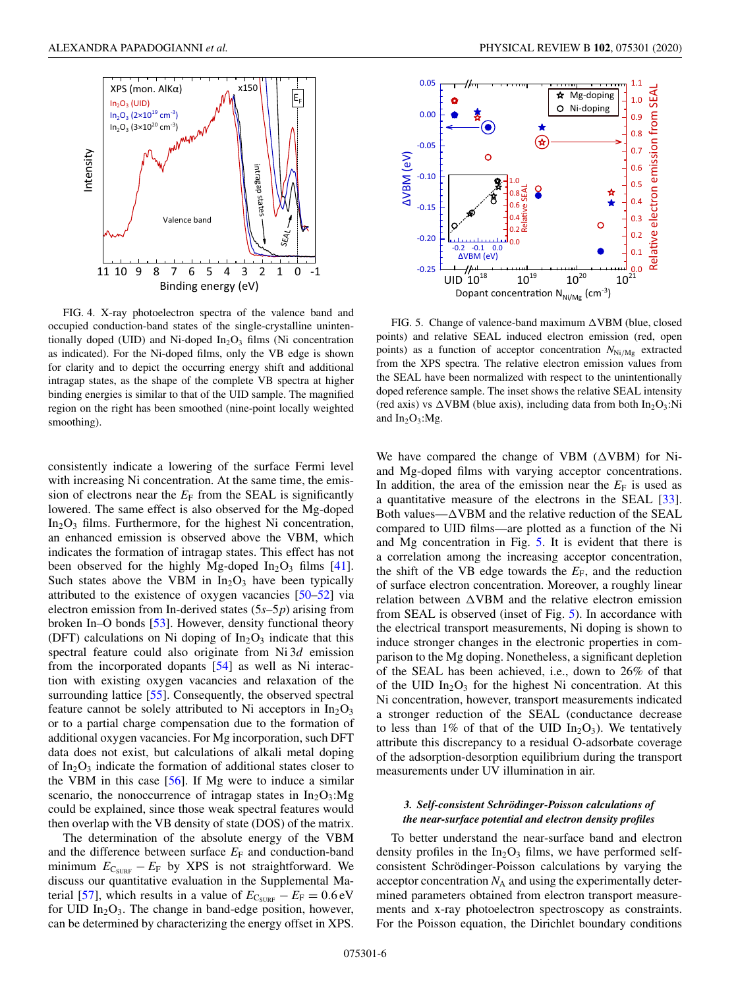<span id="page-5-0"></span>

FIG. 4. X-ray photoelectron spectra of the valence band and occupied conduction-band states of the single-crystalline unintentionally doped (UID) and Ni-doped  $In_2O_3$  films (Ni concentration as indicated). For the Ni-doped films, only the VB edge is shown for clarity and to depict the occurring energy shift and additional intragap states, as the shape of the complete VB spectra at higher binding energies is similar to that of the UID sample. The magnified region on the right has been smoothed (nine-point locally weighted smoothing).

consistently indicate a lowering of the surface Fermi level with increasing Ni concentration. At the same time, the emission of electrons near the  $E_F$  from the SEAL is significantly lowered. The same effect is also observed for the Mg-doped  $In_2O_3$  films. Furthermore, for the highest Ni concentration, an enhanced emission is observed above the VBM, which indicates the formation of intragap states. This effect has not been observed for the highly Mg-doped  $In_2O_3$  films [\[41\]](#page-9-0). Such states above the VBM in  $In<sub>2</sub>O<sub>3</sub>$  have been typically attributed to the existence of oxygen vacancies [\[50–52\]](#page-9-0) via electron emission from In-derived states (5*s*–5*p*) arising from broken In–O bonds [\[53\]](#page-9-0). However, density functional theory (DFT) calculations on Ni doping of  $In_2O_3$  indicate that this spectral feature could also originate from Ni 3*d* emission from the incorporated dopants [\[54\]](#page-9-0) as well as Ni interaction with existing oxygen vacancies and relaxation of the surrounding lattice [\[55\]](#page-9-0). Consequently, the observed spectral feature cannot be solely attributed to Ni acceptors in  $In_2O_3$ or to a partial charge compensation due to the formation of additional oxygen vacancies. For Mg incorporation, such DFT data does not exist, but calculations of alkali metal doping of  $In_2O_3$  indicate the formation of additional states closer to the VBM in this case [\[56\]](#page-9-0). If Mg were to induce a similar scenario, the nonoccurrence of intragap states in  $In_2O_3:Mg$ could be explained, since those weak spectral features would then overlap with the VB density of state (DOS) of the matrix.

The determination of the absolute energy of the VBM and the difference between surface  $E_F$  and conduction-band minimum  $E_{\text{C}_\text{SURE}} - E_F$  by XPS is not straightforward. We discuss our quantitative evaluation in the Supplemental Ma-terial [\[57\]](#page-9-0), which results in a value of  $E_{C_{\text{SURF}}} - E_{\text{F}} = 0.6 \text{ eV}$ for UID  $In_2O_3$ . The change in band-edge position, however, can be determined by characterizing the energy offset in XPS.



FIG. 5. Change of valence-band maximum  $\triangle VBM$  (blue, closed points) and relative SEAL induced electron emission (red, open points) as a function of acceptor concentration  $N_{\text{Ni/Mg}}$  extracted from the XPS spectra. The relative electron emission values from the SEAL have been normalized with respect to the unintentionally doped reference sample. The inset shows the relative SEAL intensity (red axis) vs  $\triangle VBM$  (blue axis), including data from both In<sub>2</sub>O<sub>3</sub>:Ni and  $In_2O_3:Mg$ .

We have compared the change of VBM  $(\triangle VBM)$  for Niand Mg-doped films with varying acceptor concentrations. In addition, the area of the emission near the  $E_F$  is used as a quantitative measure of the electrons in the SEAL [\[33\]](#page-9-0). Both values— $\triangle$ VBM and the relative reduction of the SEAL compared to UID films—are plotted as a function of the Ni and Mg concentration in Fig. 5. It is evident that there is a correlation among the increasing acceptor concentration, the shift of the VB edge towards the  $E_F$ , and the reduction of surface electron concentration. Moreover, a roughly linear relation between  $\triangle VBM$  and the relative electron emission from SEAL is observed (inset of Fig. 5). In accordance with the electrical transport measurements, Ni doping is shown to induce stronger changes in the electronic properties in comparison to the Mg doping. Nonetheless, a significant depletion of the SEAL has been achieved, i.e., down to 26% of that of the UID  $In_2O_3$  for the highest Ni concentration. At this Ni concentration, however, transport measurements indicated a stronger reduction of the SEAL (conductance decrease to less than 1% of that of the UID  $In_2O_3$ ). We tentatively attribute this discrepancy to a residual O-adsorbate coverage of the adsorption-desorption equilibrium during the transport measurements under UV illumination in air.

# *3. Self-consistent Schrödinger-Poisson calculations of the near-surface potential and electron density profiles*

To better understand the near-surface band and electron density profiles in the  $In_2O_3$  films, we have performed selfconsistent Schrödinger-Poisson calculations by varying the acceptor concentration  $N_A$  and using the experimentally determined parameters obtained from electron transport measurements and x-ray photoelectron spectroscopy as constraints. For the Poisson equation, the Dirichlet boundary conditions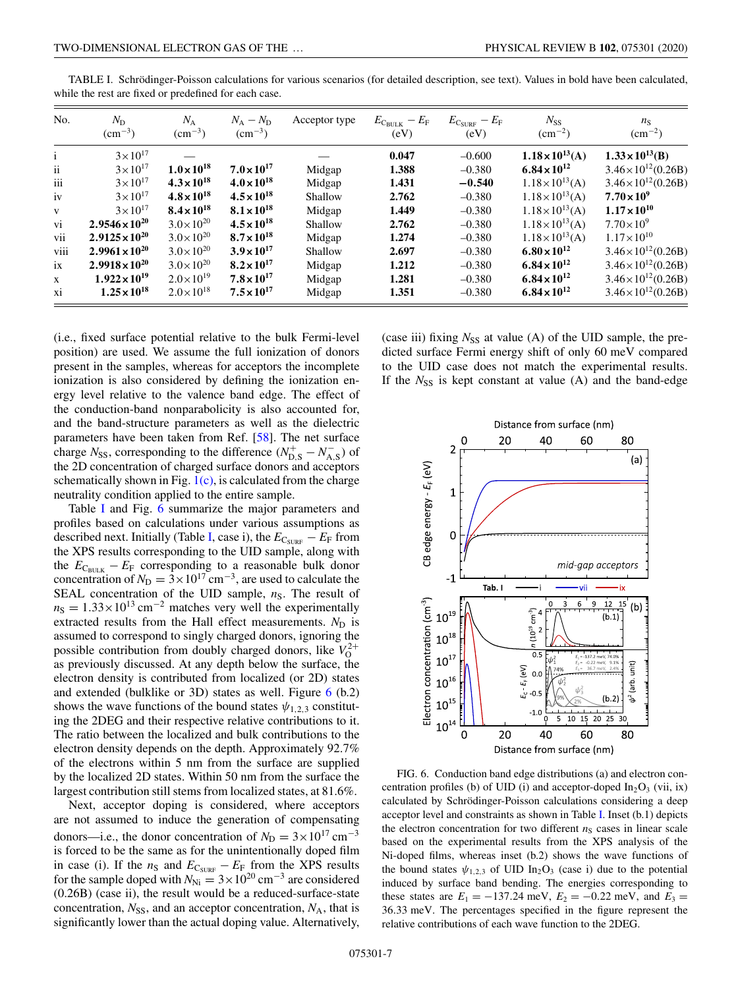| No.           | $N_{\rm D}$<br>$\rm (cm^{-3})$ | $N_{\rm A}$<br>$\rm (cm^{-3})$ | $N_{\rm A}-N_{\rm D}$<br>$\rm (cm^{-3})$ | Acceptor type | $E_{\rm CBLK}-E_{\rm F}$<br>(eV) | $E_{\rm C_{\rm SURF}}-E_{\rm F}$<br>(eV) | $N_{SS}$<br>$\rm (cm^{-2})$ | $n_{\rm S}$<br>$\rm (cm^{-2})$ |
|---------------|--------------------------------|--------------------------------|------------------------------------------|---------------|----------------------------------|------------------------------------------|-----------------------------|--------------------------------|
| $\mathbf{i}$  | $3 \times 10^{17}$             |                                |                                          |               | 0.047                            | $-0.600$                                 | $1.18 \times 10^{13}$ (A)   | $1.33 \times 10^{13}$ (B)      |
| $\mathbf{ii}$ | $3 \times 10^{17}$             | $1.0 \times 10^{18}$           | $7.0 \times 10^{17}$                     | Midgap        | 1.388                            | $-0.380$                                 | $6.84 \times 10^{12}$       | $3.46 \times 10^{12} (0.26B)$  |
| iii           | $3 \times 10^{17}$             | $4.3 \times 10^{18}$           | $4.0 \times 10^{18}$                     | Midgap        | 1.431                            | $-0.540$                                 | $1.18 \times 10^{13}$ (A)   | $3.46 \times 10^{12} (0.26B)$  |
| iv            | $3 \times 10^{17}$             | $4.8 \times 10^{18}$           | $4.5 \times 10^{18}$                     | Shallow       | 2.762                            | $-0.380$                                 | $1.18 \times 10^{13}$ (A)   | $7.70 \times 10^{9}$           |
| $\mathbf{V}$  | $3 \times 10^{17}$             | $8.4 \times 10^{18}$           | $8.1 \times 10^{18}$                     | Midgap        | 1.449                            | $-0.380$                                 | $1.18 \times 10^{13}$ (A)   | $1.17 \times 10^{10}$          |
| vi            | $2.9546 \times 10^{20}$        | $3.0 \times 10^{20}$           | $4.5 \times 10^{18}$                     | Shallow       | 2.762                            | $-0.380$                                 | $1.18 \times 10^{13}$ (A)   | $7.70\times10^{9}$             |
| vii           | $2.9125 \times 10^{20}$        | $3.0 \times 10^{20}$           | $8.7 \times 10^{18}$                     | Midgap        | 1.274                            | $-0.380$                                 | $1.18 \times 10^{13}$ (A)   | $1.17\times10^{10}$            |
| viii          | $2.9961 \times 10^{20}$        | $3.0 \times 10^{20}$           | $3.9 \times 10^{17}$                     | Shallow       | 2.697                            | $-0.380$                                 | $6.80 \times 10^{12}$       | $3.46 \times 10^{12} (0.26B)$  |
| ix            | $2.9918 \times 10^{20}$        | $3.0 \times 10^{20}$           | $8.2 \times 10^{17}$                     | Midgap        | 1.212                            | $-0.380$                                 | $6.84 \times 10^{12}$       | $3.46 \times 10^{12} (0.26B)$  |
| X             | $1.922 \times 10^{19}$         | $2.0\times10^{19}$             | $7.8 \times 10^{17}$                     | Midgap        | 1.281                            | $-0.380$                                 | $6.84 \times 10^{12}$       | $3.46 \times 10^{12} (0.26B)$  |
| xi            | $1.25 \times 10^{18}$          | $2.0\times10^{18}$             | $7.5 \times 10^{17}$                     | Midgap        | 1.351                            | $-0.380$                                 | $6.84 \times 10^{12}$       | $3.46 \times 10^{12} (0.26B)$  |

<span id="page-6-0"></span>TABLE I. Schrödinger-Poisson calculations for various scenarios (for detailed description, see text). Values in bold have been calculated, while the rest are fixed or predefined for each case.

(i.e., fixed surface potential relative to the bulk Fermi-level position) are used. We assume the full ionization of donors present in the samples, whereas for acceptors the incomplete ionization is also considered by defining the ionization energy level relative to the valence band edge. The effect of the conduction-band nonparabolicity is also accounted for, and the band-structure parameters as well as the dielectric parameters have been taken from Ref. [\[58\]](#page-9-0). The net surface charge  $N_{SS}$ , corresponding to the difference ( $N_{\text{D},S}^+ - N_{\text{A},S}^-$ ) of the 2D concentration of charged surface donors and acceptors schematically shown in Fig.  $1(c)$ , is calculated from the charge neutrality condition applied to the entire sample.

Table I and Fig. 6 summarize the major parameters and profiles based on calculations under various assumptions as described next. Initially (Table I, case i), the  $E_{\text{C}_\text{SURF}} - E_{\text{F}}$  from the XPS results corresponding to the UID sample, along with the  $E_{\text{C}_\text{BULK}} - E_{\text{F}}$  corresponding to a reasonable bulk donor concentration of  $N_D = 3 \times 10^{17}$  cm<sup>-3</sup>, are used to calculate the SEAL concentration of the UID sample,  $n<sub>S</sub>$ . The result of  $n<sub>S</sub> = 1.33 \times 10^{13}$  cm<sup>-2</sup> matches very well the experimentally extracted results from the Hall effect measurements.  $N_D$  is assumed to correspond to singly charged donors, ignoring the possible contribution from doubly charged donors, like  $V_0^{2+}$ as previously discussed. At any depth below the surface, the electron density is contributed from localized (or 2D) states and extended (bulklike or 3D) states as well. Figure 6 (b.2) shows the wave functions of the bound states  $\psi_{1,2,3}$  constituting the 2DEG and their respective relative contributions to it. The ratio between the localized and bulk contributions to the electron density depends on the depth. Approximately 92.7% of the electrons within 5 nm from the surface are supplied by the localized 2D states. Within 50 nm from the surface the largest contribution still stems from localized states, at 81.6%.

Next, acceptor doping is considered, where acceptors are not assumed to induce the generation of compensating donors—i.e., the donor concentration of  $N_D = 3 \times 10^{17}$  cm<sup>-3</sup> is forced to be the same as for the unintentionally doped film in case (i). If the  $n_S$  and  $E_{C_{\text{SURF}}} - E_F$  from the XPS results for the sample doped with  $N_{\text{Ni}} = 3 \times 10^{20} \text{ cm}^{-3}$  are considered (0.26B) (case ii), the result would be a reduced-surface-state concentration,  $N_{SS}$ , and an acceptor concentration,  $N_A$ , that is significantly lower than the actual doping value. Alternatively, (case iii) fixing  $N_{SS}$  at value (A) of the UID sample, the predicted surface Fermi energy shift of only 60 meV compared to the UID case does not match the experimental results. If the  $N_{SS}$  is kept constant at value (A) and the band-edge



FIG. 6. Conduction band edge distributions (a) and electron concentration profiles (b) of UID (i) and acceptor-doped  $In_2O_3$  (vii, ix) calculated by Schrödinger-Poisson calculations considering a deep acceptor level and constraints as shown in Table I. Inset (b.1) depicts the electron concentration for two different  $n<sub>S</sub>$  cases in linear scale based on the experimental results from the XPS analysis of the Ni-doped films, whereas inset (b.2) shows the wave functions of the bound states  $\psi_{1,2,3}$  of UID In<sub>2</sub>O<sub>3</sub> (case i) due to the potential induced by surface band bending. The energies corresponding to these states are  $E_1 = -137.24$  meV,  $E_2 = -0.22$  meV, and  $E_3 =$ 36.33 meV. The percentages specified in the figure represent the relative contributions of each wave function to the 2DEG.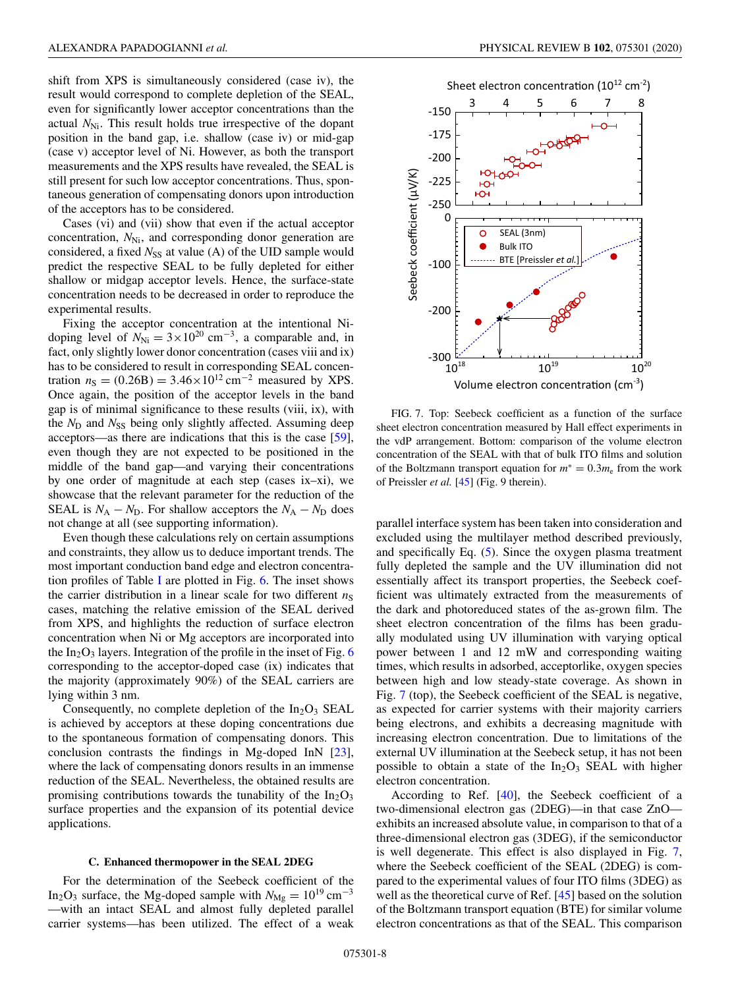<span id="page-7-0"></span>shift from XPS is simultaneously considered (case iv), the result would correspond to complete depletion of the SEAL, even for significantly lower acceptor concentrations than the actual *N*<sub>Ni</sub>. This result holds true irrespective of the dopant position in the band gap, i.e. shallow (case iv) or mid-gap (case v) acceptor level of Ni. However, as both the transport measurements and the XPS results have revealed, the SEAL is still present for such low acceptor concentrations. Thus, spontaneous generation of compensating donors upon introduction of the acceptors has to be considered.

Cases (vi) and (vii) show that even if the actual acceptor concentration,  $N_{\text{Ni}}$ , and corresponding donor generation are considered, a fixed  $N_{SS}$  at value (A) of the UID sample would predict the respective SEAL to be fully depleted for either shallow or midgap acceptor levels. Hence, the surface-state concentration needs to be decreased in order to reproduce the experimental results.

Fixing the acceptor concentration at the intentional Nidoping level of  $N_{\text{Ni}} = 3 \times 10^{20} \text{ cm}^{-3}$ , a comparable and, in fact, only slightly lower donor concentration (cases viii and ix) has to be considered to result in corresponding SEAL concentration  $n_S = (0.26B) = 3.46 \times 10^{12} \text{ cm}^{-2}$  measured by XPS. Once again, the position of the acceptor levels in the band gap is of minimal significance to these results (viii, ix), with the  $N_D$  and  $N_{SS}$  being only slightly affected. Assuming deep acceptors—as there are indications that this is the case [\[59\]](#page-9-0), even though they are not expected to be positioned in the middle of the band gap—and varying their concentrations by one order of magnitude at each step (cases ix–xi), we showcase that the relevant parameter for the reduction of the SEAL is  $N_A - N_D$ . For shallow acceptors the  $N_A - N_D$  does not change at all (see supporting information).

Even though these calculations rely on certain assumptions and constraints, they allow us to deduce important trends. The most important conduction band edge and electron concentration profiles of Table [I](#page-6-0) are plotted in Fig. [6.](#page-6-0) The inset shows the carrier distribution in a linear scale for two different  $n<sub>S</sub>$ cases, matching the relative emission of the SEAL derived from XPS, and highlights the reduction of surface electron concentration when Ni or Mg acceptors are incorporated into the  $In_2O_3$  layers. Integration of the profile in the inset of Fig. [6](#page-6-0) corresponding to the acceptor-doped case (ix) indicates that the majority (approximately 90%) of the SEAL carriers are lying within 3 nm.

Consequently, no complete depletion of the  $In_2O_3$  SEAL is achieved by acceptors at these doping concentrations due to the spontaneous formation of compensating donors. This conclusion contrasts the findings in Mg-doped InN [\[23\]](#page-9-0), where the lack of compensating donors results in an immense reduction of the SEAL. Nevertheless, the obtained results are promising contributions towards the tunability of the  $In<sub>2</sub>O<sub>3</sub>$ surface properties and the expansion of its potential device applications.

### **C. Enhanced thermopower in the SEAL 2DEG**

For the determination of the Seebeck coefficient of the In<sub>2</sub>O<sub>3</sub> surface, the Mg-doped sample with  $N_{\text{Mg}} = 10^{19} \text{ cm}^{-3}$ —with an intact SEAL and almost fully depleted parallel carrier systems—has been utilized. The effect of a weak



FIG. 7. Top: Seebeck coefficient as a function of the surface sheet electron concentration measured by Hall effect experiments in the vdP arrangement. Bottom: comparison of the volume electron concentration of the SEAL with that of bulk ITO films and solution of the Boltzmann transport equation for *m*<sup>∗</sup> = 0.3*m*<sup>e</sup> from the work of Preissler *et al.* [\[45\]](#page-9-0) (Fig. 9 therein).

parallel interface system has been taken into consideration and excluded using the multilayer method described previously, and specifically Eq. [\(5\)](#page-3-0). Since the oxygen plasma treatment fully depleted the sample and the UV illumination did not essentially affect its transport properties, the Seebeck coefficient was ultimately extracted from the measurements of the dark and photoreduced states of the as-grown film. The sheet electron concentration of the films has been gradually modulated using UV illumination with varying optical power between 1 and 12 mW and corresponding waiting times, which results in adsorbed, acceptorlike, oxygen species between high and low steady-state coverage. As shown in Fig. 7 (top), the Seebeck coefficient of the SEAL is negative, as expected for carrier systems with their majority carriers being electrons, and exhibits a decreasing magnitude with increasing electron concentration. Due to limitations of the external UV illumination at the Seebeck setup, it has not been possible to obtain a state of the  $In_2O_3$  SEAL with higher electron concentration.

According to Ref. [\[40\]](#page-9-0), the Seebeck coefficient of a two-dimensional electron gas (2DEG)—in that case ZnO exhibits an increased absolute value, in comparison to that of a three-dimensional electron gas (3DEG), if the semiconductor is well degenerate. This effect is also displayed in Fig. 7, where the Seebeck coefficient of the SEAL (2DEG) is compared to the experimental values of four ITO films (3DEG) as well as the theoretical curve of Ref. [\[45\]](#page-9-0) based on the solution of the Boltzmann transport equation (BTE) for similar volume electron concentrations as that of the SEAL. This comparison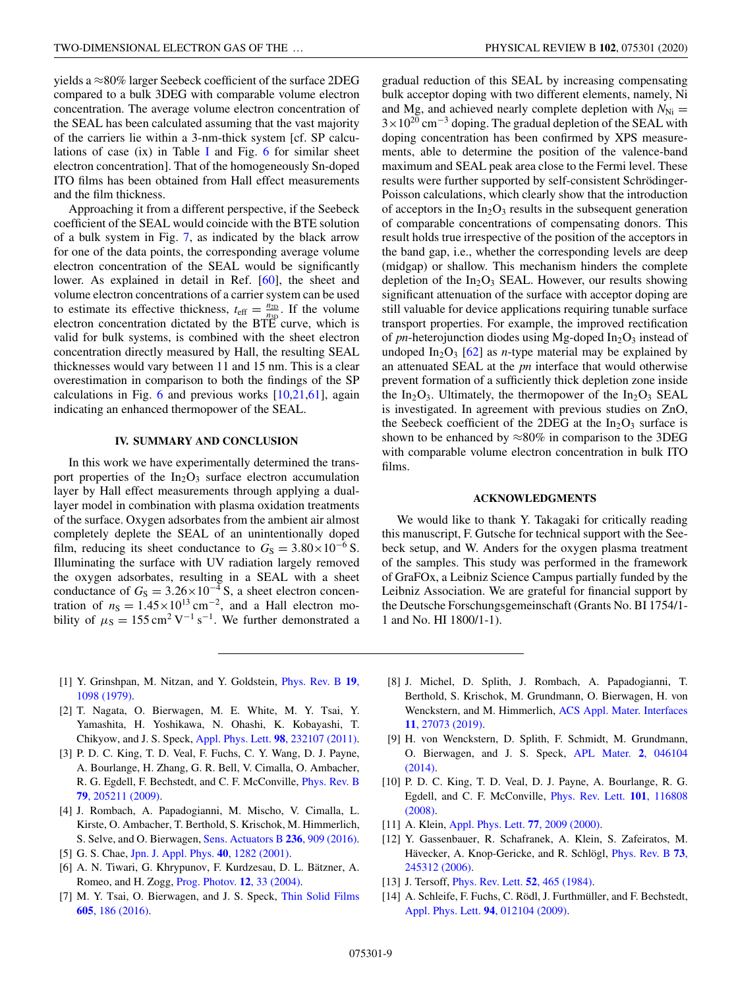<span id="page-8-0"></span>yields a ≈80% larger Seebeck coefficient of the surface 2DEG compared to a bulk 3DEG with comparable volume electron concentration. The average volume electron concentration of the SEAL has been calculated assuming that the vast majority of the carriers lie within a 3-nm-thick system [cf. SP calculations of case  $(ix)$  in Table [I](#page-6-0) and Fig. [6](#page-6-0) for similar sheet electron concentration]. That of the homogeneously Sn-doped ITO films has been obtained from Hall effect measurements and the film thickness.

Approaching it from a different perspective, if the Seebeck coefficient of the SEAL would coincide with the BTE solution of a bulk system in Fig. [7,](#page-7-0) as indicated by the black arrow for one of the data points, the corresponding average volume electron concentration of the SEAL would be significantly lower. As explained in detail in Ref. [\[60\]](#page-9-0), the sheet and volume electron concentrations of a carrier system can be used to estimate its effective thickness,  $t_{\text{eff}} = \frac{n_{2D}}{n_{3D}}$ . If the volume electron concentration dictated by the BTE curve, which is valid for bulk systems, is combined with the sheet electron concentration directly measured by Hall, the resulting SEAL thicknesses would vary between 11 and 15 nm. This is a clear overestimation in comparison to both the findings of the SP calculations in Fig.  $6$  and previous works  $[10,21,61]$  $[10,21,61]$ , again indicating an enhanced thermopower of the SEAL.

### **IV. SUMMARY AND CONCLUSION**

In this work we have experimentally determined the transport properties of the  $In_2O_3$  surface electron accumulation layer by Hall effect measurements through applying a duallayer model in combination with plasma oxidation treatments of the surface. Oxygen adsorbates from the ambient air almost completely deplete the SEAL of an unintentionally doped film, reducing its sheet conductance to  $G<sub>S</sub> = 3.80 \times 10^{-6}$  S. Illuminating the surface with UV radiation largely removed the oxygen adsorbates, resulting in a SEAL with a sheet conductance of  $G_S = 3.26 \times 10^{-4}$  S, a sheet electron concentration of  $n_S = 1.45 \times 10^{13} \text{ cm}^{-2}$ , and a Hall electron mobility of  $\mu$ <sub>S</sub> = 155 cm<sup>2</sup> V<sup>-1</sup> s<sup>-1</sup>. We further demonstrated a gradual reduction of this SEAL by increasing compensating bulk acceptor doping with two different elements, namely, Ni and Mg, and achieved nearly complete depletion with  $N_{\text{Ni}} =$  $3 \times 10^{20}$  cm<sup>-3</sup> doping. The gradual depletion of the SEAL with doping concentration has been confirmed by XPS measurements, able to determine the position of the valence-band maximum and SEAL peak area close to the Fermi level. These results were further supported by self-consistent Schrödinger-Poisson calculations, which clearly show that the introduction of acceptors in the  $In_2O_3$  results in the subsequent generation of comparable concentrations of compensating donors. This result holds true irrespective of the position of the acceptors in the band gap, i.e., whether the corresponding levels are deep (midgap) or shallow. This mechanism hinders the complete depletion of the  $In_2O_3$  SEAL. However, our results showing significant attenuation of the surface with acceptor doping are still valuable for device applications requiring tunable surface transport properties. For example, the improved rectification of *pn*-heterojunction diodes using Mg-doped  $In_2O_3$  instead of undoped  $In_2O_3$  [\[62\]](#page-9-0) as *n*-type material may be explained by an attenuated SEAL at the *pn* interface that would otherwise prevent formation of a sufficiently thick depletion zone inside the In<sub>2</sub>O<sub>3</sub>. Ultimately, the thermopower of the In<sub>2</sub>O<sub>3</sub> SEAL is investigated. In agreement with previous studies on ZnO, the Seebeck coefficient of the 2DEG at the  $In_2O_3$  surface is shown to be enhanced by  $\approx 80\%$  in comparison to the 3DEG with comparable volume electron concentration in bulk ITO films.

#### **ACKNOWLEDGMENTS**

We would like to thank Y. Takagaki for critically reading this manuscript, F. Gutsche for technical support with the Seebeck setup, and W. Anders for the oxygen plasma treatment of the samples. This study was performed in the framework of GraFOx, a Leibniz Science Campus partially funded by the Leibniz Association. We are grateful for financial support by the Deutsche Forschungsgemeinschaft (Grants No. BI 1754/1- 1 and No. HI 1800/1-1).

- [1] [Y. Grinshpan, M. Nitzan, and Y. Goldstein,](https://doi.org/10.1103/PhysRevB.19.1098) Phys. Rev. B **19**, 1098 (1979).
- [2] T. Nagata, O. Bierwagen, M. E. White, M. Y. Tsai, Y. Yamashita, H. Yoshikawa, N. Ohashi, K. Kobayashi, T. Chikyow, and J. S. Speck, [Appl. Phys. Lett.](https://doi.org/10.1063/1.3596449) **98**, 232107 (2011).
- [3] P. D. C. King, T. D. Veal, F. Fuchs, C. Y. Wang, D. J. Payne, A. Bourlange, H. Zhang, G. R. Bell, V. Cimalla, O. Ambacher, [R. G. Egdell, F. Bechstedt, and C. F. McConville,](https://doi.org/10.1103/PhysRevB.79.205211) Phys. Rev. B **79**, 205211 (2009).
- [4] J. Rombach, A. Papadogianni, M. Mischo, V. Cimalla, L. Kirste, O. Ambacher, T. Berthold, S. Krischok, M. Himmerlich, S. Selve, and O. Bierwagen, [Sens. Actuators B](https://doi.org/10.1016/j.snb.2016.03.079) **236**, 909 (2016).
- [5] G. S. Chae, [Jpn. J. Appl. Phys.](https://doi.org/10.1143/JJAP.40.1282) **40**, 1282 (2001).
- [6] A. N. Tiwari, G. Khrypunov, F. Kurdzesau, D. L. Bätzner, A. Romeo, and H. Zogg, [Prog. Photov.](https://doi.org/10.1002/pip.525) **12**, 33 (2004).
- [7] [M. Y. Tsai, O. Bierwagen, and J. S. Speck,](https://doi.org/10.1016/j.tsf.2015.09.022) Thin Solid Films **605**, 186 (2016).
- [8] J. Michel, D. Splith, J. Rombach, A. Papadogianni, T. Berthold, S. Krischok, M. Grundmann, O. Bierwagen, H. von [Wenckstern, and M. Himmerlich,](https://doi.org/10.1021/acsami.9b06455) ACS Appl. Mater. Interfaces **11**, 27073 (2019).
- [9] H. von Wenckstern, D. Splith, F. Schmidt, M. Grundmann, [O. Bierwagen, and J. S. Speck,](https://doi.org/10.1063/1.4870536) APL Mater. **2**, 046104 (2014).
- [10] P. D. C. King, T. D. Veal, D. J. Payne, A. Bourlange, R. G. [Egdell, and C. F. McConville,](https://doi.org/10.1103/PhysRevLett.101.116808) Phys. Rev. Lett. **101**, 116808 (2008).
- [11] A. Klein, [Appl. Phys. Lett.](https://doi.org/10.1063/1.1312199) **77**, 2009 (2000).
- [12] Y. Gassenbauer, R. Schafranek, A. Klein, S. Zafeiratos, M. [Hävecker, A. Knop-Gericke, and R. Schlögl,](https://doi.org/10.1103/PhysRevB.73.245312) Phys. Rev. B **73**, 245312 (2006).
- [13] J. Tersoff, [Phys. Rev. Lett.](https://doi.org/10.1103/PhysRevLett.52.465) **52**, 465 (1984).
- [14] A. Schleife, F. Fuchs, C. Rödl, J. Furthmüller, and F. Bechstedt, [Appl. Phys. Lett.](https://doi.org/10.1063/1.3059569) **94**, 012104 (2009).